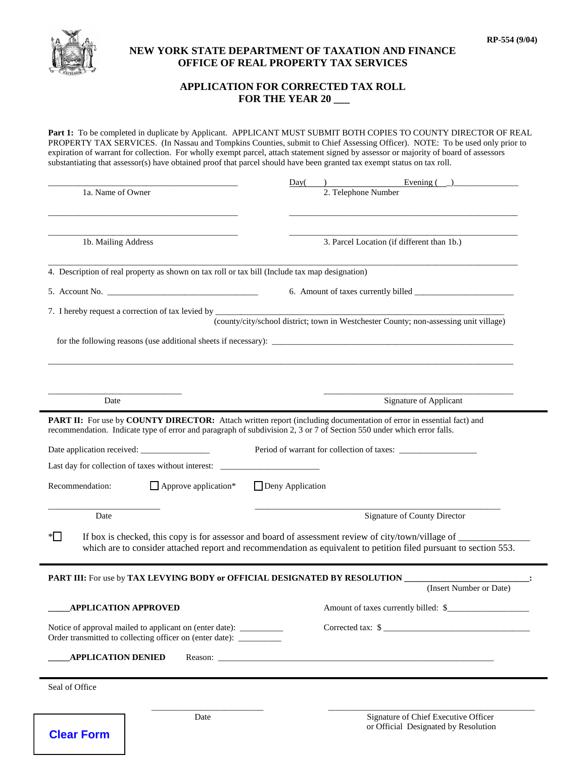

**Clear Form**

## **NEW YORK STATE DEPARTMENT OF TAXATION AND FINANCE OFFICE OF REAL PROPERTY TAX SERVICES**

## **APPLICATION FOR CORRECTED TAX ROLL FOR THE YEAR 20 \_\_\_**

**Part 1:** To be completed in duplicate by Applicant. APPLICANT MUST SUBMIT BOTH COPIES TO COUNTY DIRECTOR OF REAL PROPERTY TAX SERVICES. (In Nassau and Tompkins Counties, submit to Chief Assessing Officer). NOTE: To be used only prior to expiration of warrant for collection. For wholly exempt parcel, attach statement signed by assessor or majority of board of assessors substantiating that assessor(s) have obtained proof that parcel should have been granted tax exempt status on tax roll.

| 1a. Name of Owner                                                                                                                        | Evening $\begin{pmatrix} 1 & 1 \\ 0 & 1 \end{pmatrix}$<br>Day(<br>2. Telephone Number                               |  |  |
|------------------------------------------------------------------------------------------------------------------------------------------|---------------------------------------------------------------------------------------------------------------------|--|--|
|                                                                                                                                          |                                                                                                                     |  |  |
|                                                                                                                                          |                                                                                                                     |  |  |
| 1b. Mailing Address                                                                                                                      | 3. Parcel Location (if different than 1b.)                                                                          |  |  |
| 4. Description of real property as shown on tax roll or tax bill (Include tax map designation)                                           |                                                                                                                     |  |  |
|                                                                                                                                          |                                                                                                                     |  |  |
| 7. I hereby request a correction of tax levied by _______________________________                                                        | (county/city/school district; town in Westchester County; non-assessing unit village)                               |  |  |
|                                                                                                                                          |                                                                                                                     |  |  |
|                                                                                                                                          |                                                                                                                     |  |  |
|                                                                                                                                          |                                                                                                                     |  |  |
|                                                                                                                                          |                                                                                                                     |  |  |
| Date                                                                                                                                     | <b>Signature of Applicant</b>                                                                                       |  |  |
| recommendation. Indicate type of error and paragraph of subdivision 2, 3 or 7 of Section 550 under which error falls.                    | PART II: For use by COUNTY DIRECTOR: Attach written report (including documentation of error in essential fact) and |  |  |
|                                                                                                                                          |                                                                                                                     |  |  |
| Last day for collection of taxes without interest: _                                                                                     |                                                                                                                     |  |  |
| Recommendation:<br>$\Box$ Approve application*                                                                                           | $\Box$ Deny Application                                                                                             |  |  |
| Date                                                                                                                                     | <b>Signature of County Director</b>                                                                                 |  |  |
| $*$                                                                                                                                      | If box is checked, this copy is for assessor and board of assessment review of city/town/village of ______          |  |  |
|                                                                                                                                          | which are to consider attached report and recommendation as equivalent to petition filed pursuant to section 553.   |  |  |
| PART III: For use by TAX LEVYING BODY or OFFICIAL DESIGNATED BY RESOLUTION                                                               |                                                                                                                     |  |  |
|                                                                                                                                          | (Insert Number or Date)                                                                                             |  |  |
| <b>APPLICATION APPROVED</b>                                                                                                              | Amount of taxes currently billed: \$                                                                                |  |  |
| Notice of approval mailed to applicant on (enter date): __________<br>Order transmitted to collecting officer on (enter date): _________ | Corrected tax: \$                                                                                                   |  |  |
| <b>APPLICATION DENIED</b>                                                                                                                |                                                                                                                     |  |  |
| Seal of Office                                                                                                                           |                                                                                                                     |  |  |
|                                                                                                                                          |                                                                                                                     |  |  |
| Date                                                                                                                                     | Signature of Chief Executive Officer                                                                                |  |  |

or Official Designated by Resolution